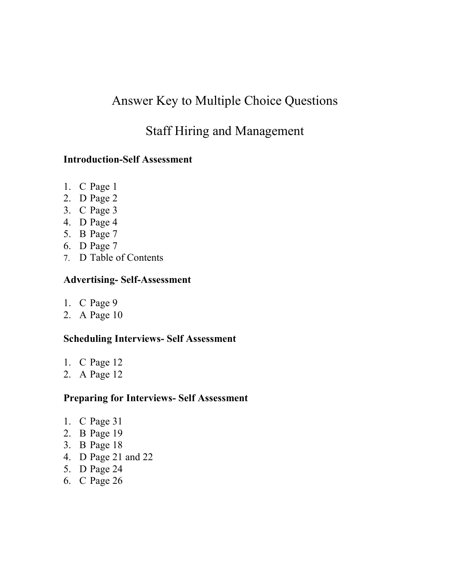# Answer Key to Multiple Choice Questions

# Staff Hiring and Management

## **Introduction-Self Assessment**

- 1. C Page 1
- 2. D Page 2
- 3. C Page 3
- 4. D Page 4
- 5. B Page 7
- 6. D Page 7
- 7. D Table of Contents

## **Advertising- Self-Assessment**

- 1. C Page 9
- 2. A Page 10

### **Scheduling Interviews- Self Assessment**

- 1. C Page 12
- 2. A Page 12

## **Preparing for Interviews- Self Assessment**

- 1. C Page 31
- 2. B Page 19
- 3. B Page 18
- 4. D Page 21 and 22
- 5. D Page 24
- 6. C Page 26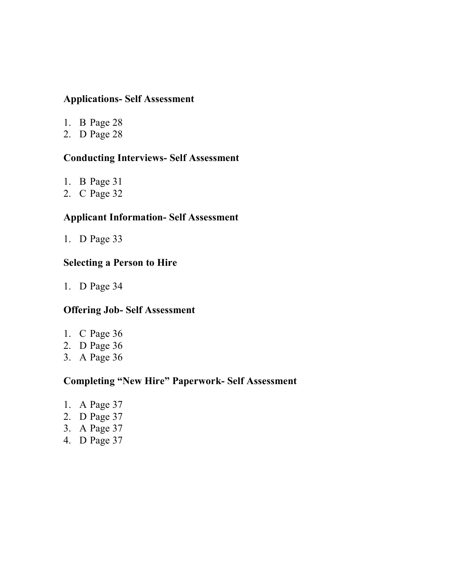### **Applications- Self Assessment**

- 1. B Page 28
- 2. D Page 28

#### **Conducting Interviews- Self Assessment**

- 1. B Page 31
- 2. C Page 32

# **Applicant Information- Self Assessment**

1. D Page 33

#### **Selecting a Person to Hire**

1. D Page 34

### **Offering Job- Self Assessment**

- 1. C Page 36
- 2. D Page 36
- 3. A Page 36

### **Completing "New Hire" Paperwork- Self Assessment**

- 1. A Page 37
- 2. D Page 37
- 3. A Page 37
- 4. D Page 37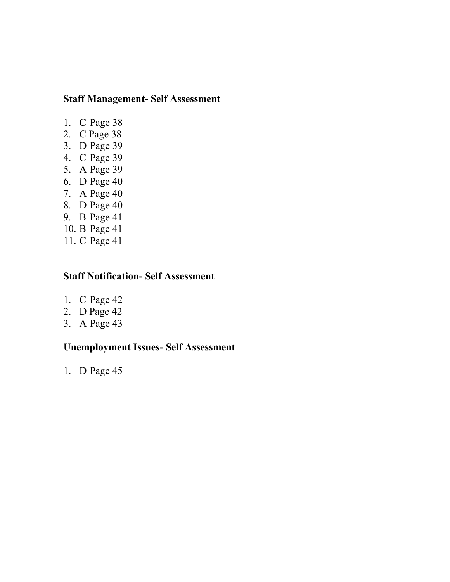# **Staff Management- Self Assessment**

- 1. C Page 38
- 2. C Page 38
- 3. D Page 39
- 4. C Page 39
- 5. A Page 39
- 6. D Page 40
- 7. A Page 40
- 8. D Page 40
- 9. B Page 41
- 10. B Page 41
- 11. C Page 41

# **Staff Notification- Self Assessment**

- 1. C Page 42
- 2. D Page 42
- 3. A Page 43

# **Unemployment Issues- Self Assessment**

1. D Page 45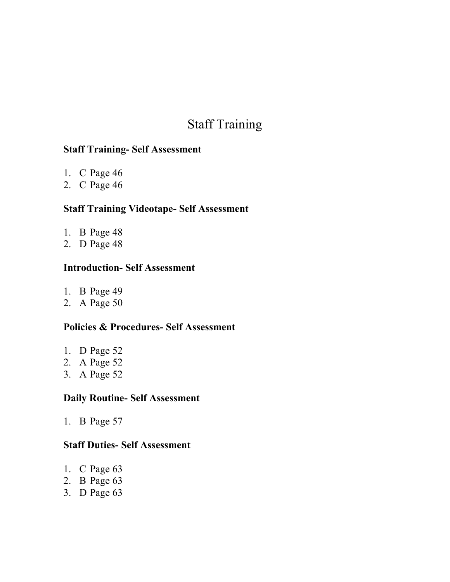# Staff Training

# **Staff Training- Self Assessment**

- 1. C Page 46
- 2. C Page 46

# **Staff Training Videotape- Self Assessment**

- 1. B Page 48
- 2. D Page 48

# **Introduction- Self Assessment**

- 1. B Page 49
- 2. A Page 50

# **Policies & Procedures- Self Assessment**

- 1. D Page 52
- 2. A Page 52
- 3. A Page 52

# **Daily Routine- Self Assessment**

1. B Page 57

### **Staff Duties- Self Assessment**

- 1. C Page 63
- 2. B Page 63
- 3. D Page 63